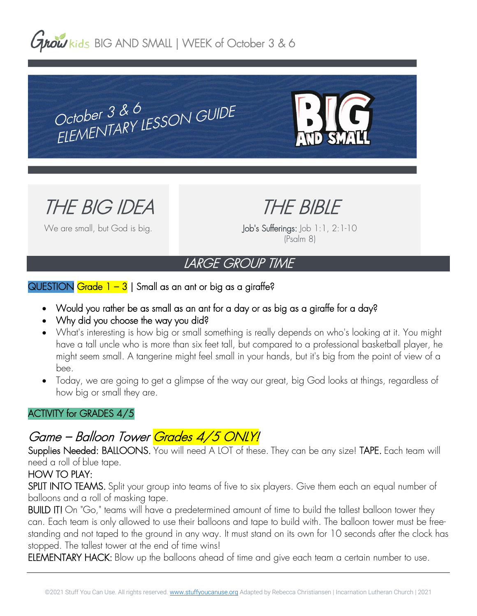**Grow** kids BIG AND SMALL | WEEK of October 3 & 6

October 3 & 6<br>ELEMENTARY LESSON GUIDE October  $3 & 6$ 



THE BIG IDEA

We are small, but God is big.

THE BIBLE

Job's Sufferings: Job 1:1, 2:1-10 (Psalm 8)

# LARGE GROUP TIME

### QUESTION Grade  $1 - 3$  | Small as an ant or big as a giraffe?

- Would you rather be as small as an ant for a day or as big as a giraffe for a day?
- Why did you choose the way you did?
- What's interesting is how big or small something is really depends on who's looking at it. You might have a tall uncle who is more than six feet tall, but compared to a professional basketball player, he might seem small. A tangerine might feel small in your hands, but it's big from the point of view of a bee.
- Today, we are going to get a glimpse of the way our great, big God looks at things, regardless of how big or small they are.

# ACTIVITY for GRADES 4/5

# Game – Balloon Tower Grades 4/5 ONLY!

Supplies Needed: BALLOONS. You will need A LOT of these. They can be any size! TAPE. Each team will need a roll of blue tape.

# HOW TO PLAY:

SPLIT INTO TEAMS. Split your group into teams of five to six players. Give them each an equal number of balloons and a roll of masking tape.

BUILD IT! On "Go," teams will have a predetermined amount of time to build the tallest balloon tower they can. Each team is only allowed to use their balloons and tape to build with. The balloon tower must be freestanding and not taped to the ground in any way. It must stand on its own for 10 seconds after the clock has stopped. The tallest tower at the end of time wins!

ELEMENTARY HACK: Blow up the balloons ahead of time and give each team a certain number to use.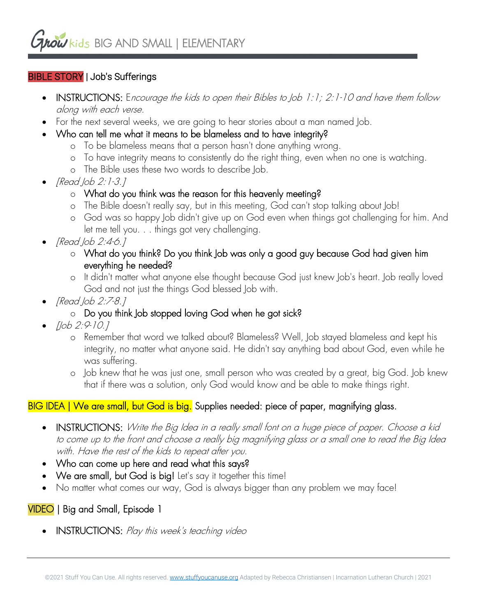# BIBLE STORY | Job's Sufferings

- INSTRUCTIONS: Encourage the kids to open their Bibles to Job 1:1; 2:1-10 and have them follow along with each verse.
- For the next several weeks, we are going to hear stories about a man named Job.
- Who can tell me what it means to be blameless and to have integrity?
	- o To be blameless means that a person hasn't done anything wrong.
	- o To have integrity means to consistently do the right thing, even when no one is watching.
	- o The Bible uses these two words to describe Job.
- [Read Job 2:1-3.]
	- o What do you think was the reason for this heavenly meeting?
	- o The Bible doesn't really say, but in this meeting, God can't stop talking about Job!
	- o God was so happy Job didn't give up on God even when things got challenging for him. And let me tell you. . . things got very challenging.
- [Read Job 2:4-6.]
	- o What do you think? Do you think Job was only a good guy because God had given him everything he needed?
	- o It didn't matter what anyone else thought because God just knew Job's heart. Job really loved God and not just the things God blessed Job with.
- [Read Job 2:7-8.]

# o Do you think Job stopped loving God when he got sick?

- [Job 2:9-10.]
	- o Remember that word we talked about? Blameless? Well, Job stayed blameless and kept his integrity, no matter what anyone said. He didn't say anything bad about God, even while he was suffering.
	- o Job knew that he was just one, small person who was created by a great, big God. Job knew that if there was a solution, only God would know and be able to make things right.

# BIG IDEA | We are small, but God is big. Supplies needed: piece of paper, magnifying glass.

- INSTRUCTIONS: Write the Big Idea in a really small font on a huge piece of paper. Choose a kid to come up to the front and choose a really big magnifying glass or a small one to read the Big Idea with. Have the rest of the kids to repeat after you.
- Who can come up here and read what this says?
- We are small, but God is big! Let's say it together this time!
- No matter what comes our way, God is always bigger than any problem we may face!

# VIDEO | Big and Small, Episode 1

• INSTRUCTIONS: Play this week's teaching video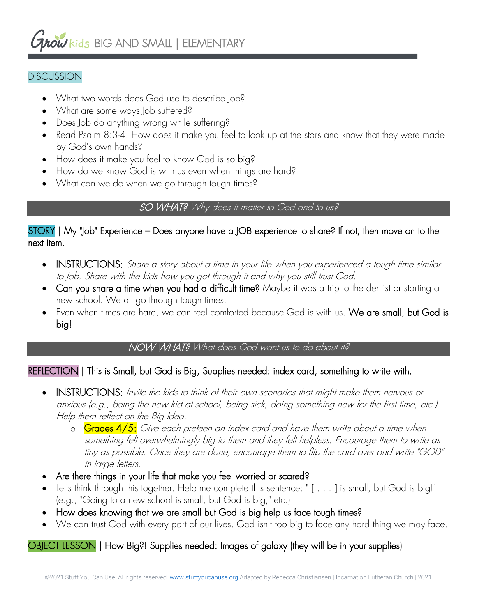# *Arow* kids BIG AND SMALL | ELEMENTARY

#### **DISCUSSION**

- What two words does God use to describe Job?
- What are some ways Job suffered?
- Does Job do anything wrong while suffering?
- Read Psalm 8:3-4. How does it make you feel to look up at the stars and know that they were made by God's own hands?
- How does it make you feel to know God is so big?
- How do we know God is with us even when things are hard?
- What can we do when we go through tough times?

#### SO WHAT? Why does it matter to God and to us?

#### STORY | My "Job" Experience – Does anyone have a JOB experience to share? If not, then move on to the next item.

- INSTRUCTIONS: Share a story about a time in your life when you experienced a tough time similar to Job. Share with the kids how you got through it and why you still trust God.
- Can you share a time when you had a difficult time? Maybe it was a trip to the dentist or starting a new school. We all go through tough times.
- Even when times are hard, we can feel comforted because God is with us. We are small, but God is big!

#### NOW WHAT? What does God want us to do about it?

#### REFLECTION | This is Small, but God is Big, Supplies needed: index card, something to write with.

- INSTRUCTIONS: Invite the kids to think of their own scenarios that might make them nervous or anxious (e.g., being the new kid at school, being sick, doing something new for the first time, etc.) Help them reflect on the Big Idea.
	- o Grades 4/5: Give each preteen an index card and have them write about a time when something felt overwhelmingly big to them and they felt helpless. Encourage them to write as tiny as possible. Once they are done, encourage them to flip the card over and write "GOD" in large letters.
- Are there things in your life that make you feel worried or scared?
- Let's think through this together. Help me complete this sentence: " [ . . . ] is small, but God is big!" (e.g., "Going to a new school is small, but God is big," etc.)
- How does knowing that we are small but God is big help us face tough times?
- We can trust God with every part of our lives. God isn't too big to face any hard thing we may face.

# OBJECT LESSON | How Big?! Supplies needed: Images of galaxy (they will be in your supplies)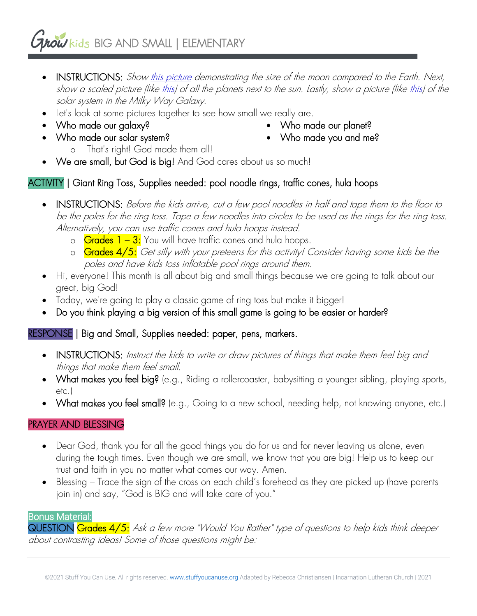# *ANDW* kids BIG AND SMALL | ELEMENTARY

- INSTRUCTIONS: Show this picture demonstrating the size of the moon compared to the Earth. Next, show a scaled picture (like this) of all the planets next to the sun. Lastly, show a picture (like this) of the solar system in the Milky Way Galaxy.
- Let's look at some pictures together to see how small we really are.
- Who made our galaxy?
- Who made our solar system?
- Who made our planet?
- Who made you and me?
- o That's right! God made them all! • We are small, but God is big! And God cares about us so much!

# ACTIVITY | Giant Ring Toss, Supplies needed: pool noodle rings, traffic cones, hula hoops

- INSTRUCTIONS: Before the kids arrive, cut a few pool noodles in half and tape them to the floor to be the poles for the ring toss. Tape a few noodles into circles to be used as the rings for the ring toss. Alternatively, you can use traffic cones and hula hoops instead.
	- $\circ$  Grades 1 3: You will have traffic cones and hula hoops.
	- o Grades 4/5: Get silly with your preteens for this activity! Consider having some kids be the poles and have kids toss inflatable pool rings around them.
- Hi, everyone! This month is all about big and small things because we are going to talk about our great, big God!
- Today, we're going to play a classic game of ring toss but make it bigger!
- Do you think playing a big version of this small game is going to be easier or harder?

# RESPONSE | Big and Small, Supplies needed: paper, pens, markers.

- INSTRUCTIONS: Instruct the kids to write or draw pictures of things that make them feel big and things that make them feel small.
- What makes you feel big? (e.g., Riding a rollercoaster, babysitting a younger sibling, playing sports, etc.)
- What makes you feel small? (e.g., Going to a new school, needing help, not knowing anyone, etc.)

# PRAYER AND BLESSING

- Dear God, thank you for all the good things you do for us and for never leaving us alone, even during the tough times. Even though we are small, we know that you are big! Help us to keep our trust and faith in you no matter what comes our way. Amen.
- Blessing Trace the sign of the cross on each child's forehead as they are picked up (have parents join in) and say, "God is BIG and will take care of you."

#### Bonus Material:

QUESTION Grades 4/5: Ask a few more "Would You Rather" type of questions to help kids think deeper about contrasting ideas! Some of those questions might be: